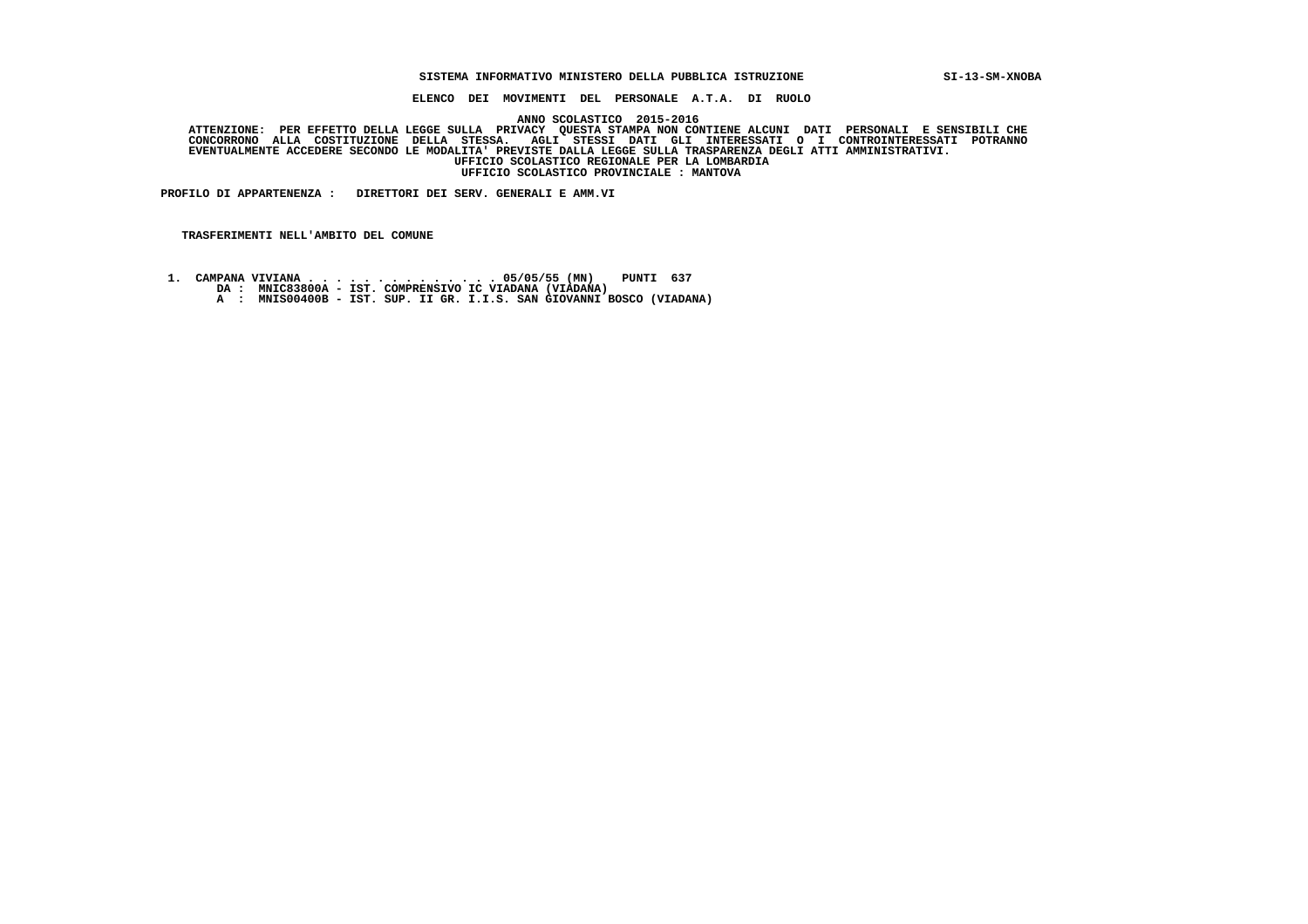## **SISTEMA INFORMATIVO MINISTERO DELLA PUBBLICA ISTRUZIONE SI-13-SM-XNOBA**

 **ELENCO DEI MOVIMENTI DEL PERSONALE A.T.A. DI RUOLO**

 **ANNO SCOLASTICO 2015-2016**

ATTENZIONE: PER EFFETTO DELLA LEGGE SULLA PRIVACY QUESTA STAMPA NON CONTIENE ALCUNI DATI PERSONALI E SENSIBILI<br>CONCORRONO ALLA COSTITUZIONE DELLA STESSA. AGLI STESSI DATI GLI INTERESSATI O I CONTROINTERESSATI POTRANNO  **EVENTUALMENTE ACCEDERE SECONDO LE MODALITA' PREVISTE DALLA LEGGE SULLA TRASPARENZA DEGLI ATTI AMMINISTRATIVI. UFFICIO SCOLASTICO REGIONALE PER LA LOMBARDIA UFFICIO SCOLASTICO PROVINCIALE : MANTOVA**

 **PROFILO DI APPARTENENZA : DIRETTORI DEI SERV. GENERALI E AMM.VI**

 **TRASFERIMENTI NELL'AMBITO DEL COMUNE**

 **1. CAMPANA VIVIANA . . . . . . . . . . . . . . 05/05/55 (MN) PUNTI 637 DA : MNIC83800A - IST. COMPRENSIVO IC VIADANA (VIADANA)**

- 
- **A : MNIS00400B IST. SUP. II GR. I.I.S. SAN GIOVANNI BOSCO (VIADANA)**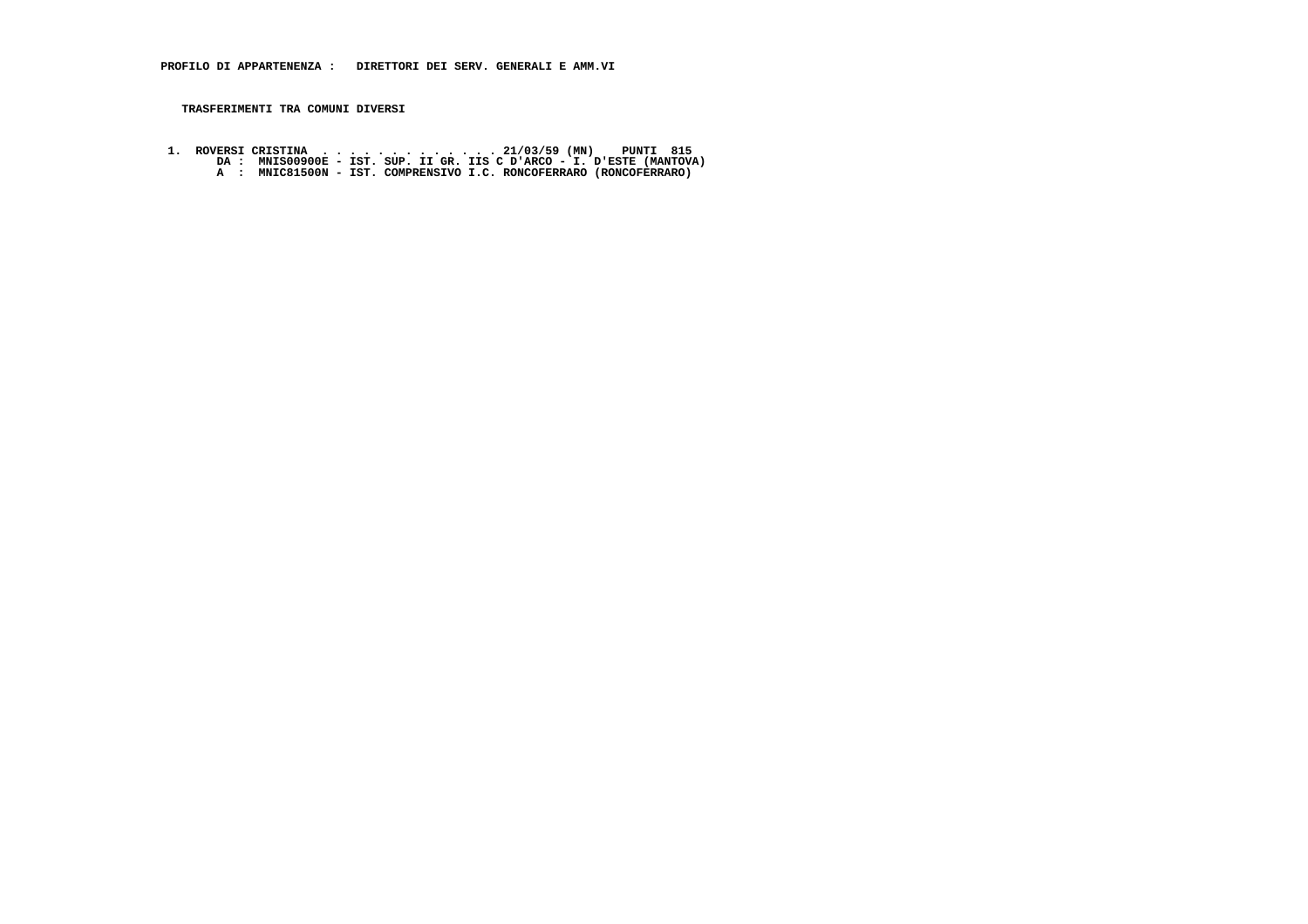1. ROVERSI CRISTINA . . . . . . . . . . . . 21/03/59 (MN) PUNTI 815<br>DA : MNIS00908 - IST. SUP. II GR. IIS C D'ARCO - I. D'ESTE (MANTOVA)<br>A : MNIC81500N - IST. COMPRENSIVO I.C. RONCOFERRARO (RONCOFERRARO)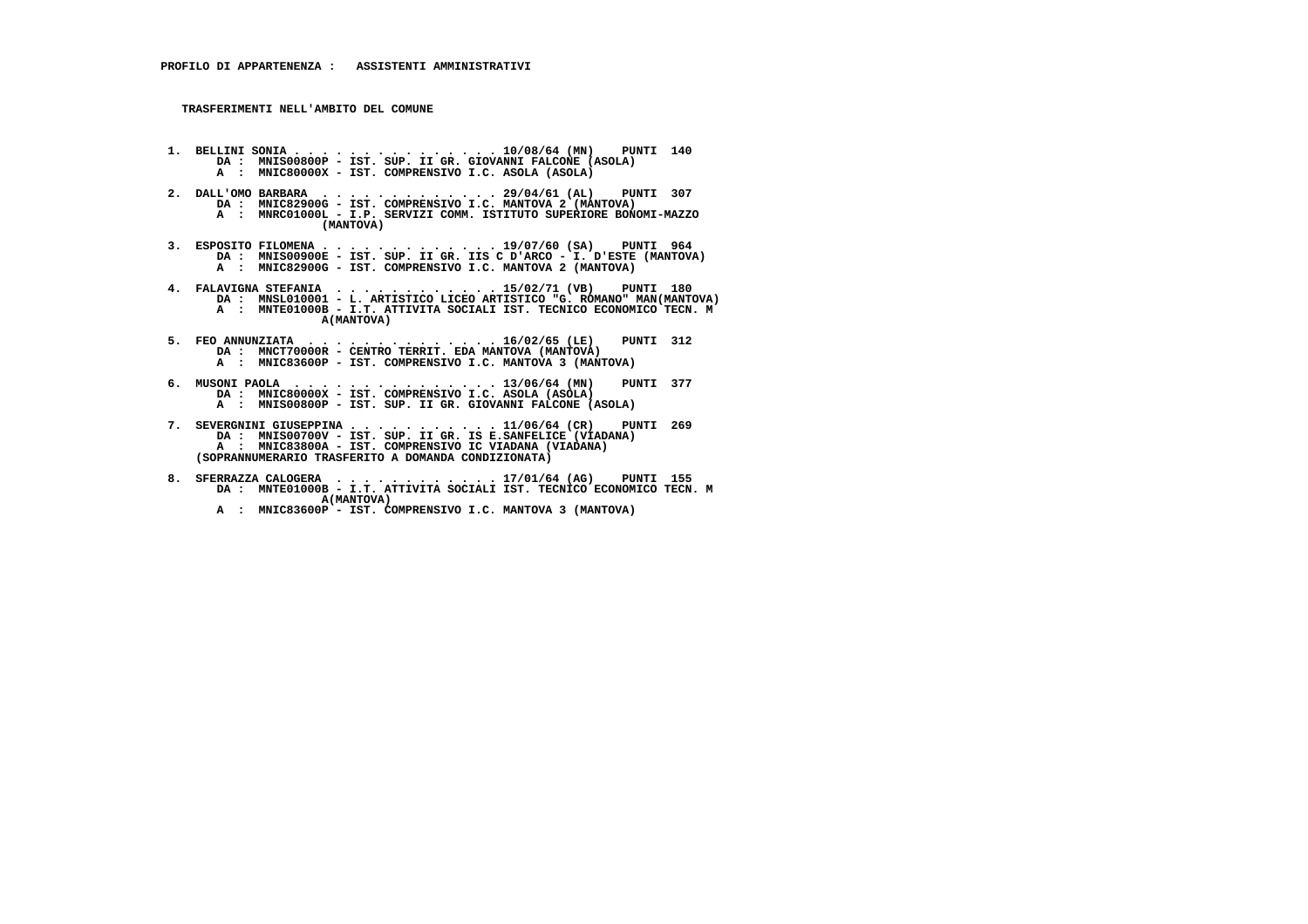- **1. BELLINI SONIA . . . . . . . . . . . . . . . 10/08/64 (MN) PUNTI 140 DA : MNIS00800P IST. SUP. II GR. GIOVANNI FALCONE (ASOLA) A : MNIC80000X - IST. COMPRENSIVO I.C. ASOLA (ASOLA)**
- **2. DALL'OMO BARBARA . . . . . . . . . . . . . 29/04/61 (AL) PUNTI 307 DA : MNIC82900G - IST. COMPRENSIVO I.C. MANTOVA 2 (MANTOVA) A : MNRC01000L - I.P. SERVIZI COMM. ISTITUTO SUPERIORE BONOMI-MAZZO (MANTOVA)**
- **3. ESPOSITO FILOMENA . . . . . . . . . . . . . 19/07/60 (SA) PUNTI 964 DA : MNIS00900E IST. SUP. II GR. IIS C D'ARCO I. D'ESTE (MANTOVA) A : MNIC82900G - IST. COMPRENSIVO I.C. MANTOVA 2 (MANTOVA)**
- **4. FALAVIGNA STEFANIA . . . . . . . . . . . . 15/02/71 (VB) PUNTI 180 DA : MNSL010001 - L. ARTISTICO LICEO ARTISTICO "G. ROMANO" MAN(MANTOVA) A : MNTE01000B - I.T. ATTIVITA SOCIALI IST. TECNICO ECONOMICO TECN. M A(MANTOVA)**
- **5. FEO ANNUNZIATA . . . . . . . . . . . . . . 16/02/65 (LE) PUNTI 312 DA : MNCT70000R CENTRO TERRIT. EDA MANTOVA (MANTOVA) A : MNIC83600P - IST. COMPRENSIVO I.C. MANTOVA 3 (MANTOVA)**
- **6. MUSONI PAOLA . . . . . . . . . . . . . . . 13/06/64 (MN) PUNTI 377 DA : MNIC80000X IST. COMPRENSIVO I.C. ASOLA (ASOLA) A : MNIS00800P - IST. SUP. II GR. GIOVANNI FALCONE (ASOLA)**
- **7. SEVERGNINI GIUSEPPINA . . . . . . . . . . . 11/06/64 (CR) PUNTI 269 DA : MNIS00700V IST. SUP. II GR. IS E.SANFELICE (VIADANA) A : MNIC83800A - IST. COMPRENSIVO IC VIADANA (VIADANA) (SOPRANNUMERARIO TRASFERITO A DOMANDA CONDIZIONATA)**
- **8. SFERRAZZA CALOGERA . . . . . . . . . . . . 17/01/64 (AG) PUNTI 155 DA : MNTE01000B - I.T. ATTIVITA SOCIALI IST. TECNICO ECONOMICO TECN. M A(MANTOVA)**
- **A : MNIC83600P IST. COMPRENSIVO I.C. MANTOVA 3 (MANTOVA)**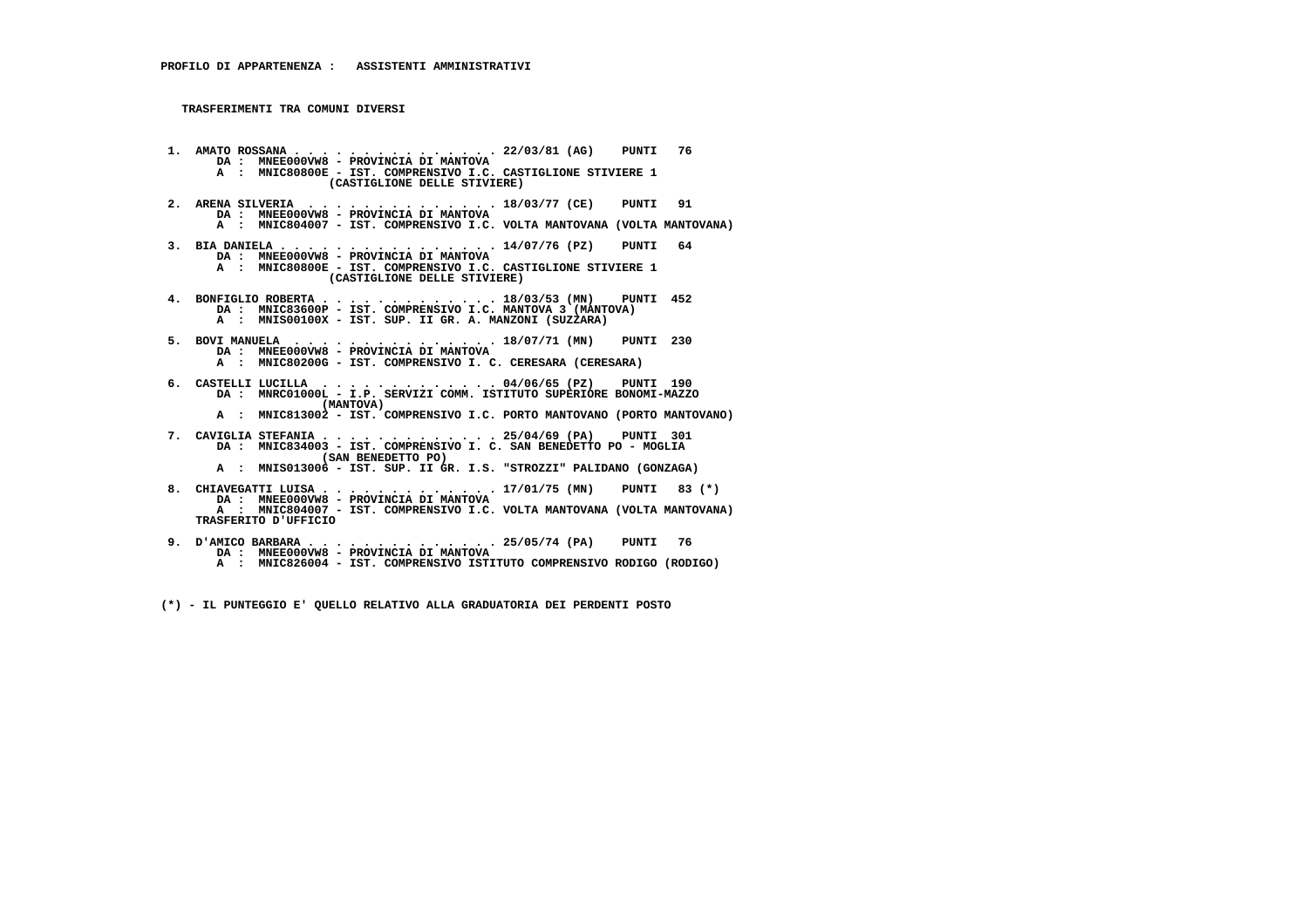- **1. AMATO ROSSANA . . . . . . . . . . . . . . . 22/03/81 (AG) PUNTI 76 DA : MNEE000VW8 PROVINCIA DI MANTOVA A : MNIC80800E - IST. COMPRENSIVO I.C. CASTIGLIONE STIVIERE 1 (CASTIGLIONE DELLE STIVIERE)**
- **2. ARENA SILVERIA . . . . . . . . . . . . . . 18/03/77 (CE) PUNTI 91 DA : MNEE000VW8 PROVINCIA DI MANTOVA A : MNIC804007 - IST. COMPRENSIVO I.C. VOLTA MANTOVANA (VOLTA MANTOVANA)**
- **3. BIA DANIELA . . . . . . . . . . . . . . . . 14/07/76 (PZ) PUNTI 64 DA : MNEE000VW8 PROVINCIA DI MANTOVA A : MNIC80800E - IST. COMPRENSIVO I.C. CASTIGLIONE STIVIERE 1 (CASTIGLIONE DELLE STIVIERE)**
- **4. BONFIGLIO ROBERTA . . . . . . . . . . . . . 18/03/53 (MN) PUNTI 452 DA : MNIC83600P IST. COMPRENSIVO I.C. MANTOVA 3 (MANTOVA) A : MNIS00100X - IST. SUP. II GR. A. MANZONI (SUZZARA)**
- **5. BOVI MANUELA . . . . . . . . . . . . . . . 18/07/71 (MN) PUNTI 230 DA : MNEE000VW8 PROVINCIA DI MANTOVA A : MNIC80200G - IST. COMPRENSIVO I. C. CERESARA (CERESARA)**
- **6. CASTELLI LUCILLA . . . . . . . . . . . . . 04/06/65 (PZ) PUNTI 190 DA : MNRC01000L I.P. SERVIZI COMM. ISTITUTO SUPERIORE BONOMI-MAZZO (MANTOVA)**
- **A : MNIC813002 IST. COMPRENSIVO I.C. PORTO MANTOVANO (PORTO MANTOVANO)**
- **7. CAVIGLIA STEFANIA . . . . . . . . . . . . . 25/04/69 (PA) PUNTI 301 DA : MNIC834003 - IST. COMPRENSIVO I. C. SAN BENEDETTO PO - MOGLIA (SAN BENEDETTO PO) A : MNIS013006 - IST. SUP. II GR. I.S. "STROZZI" PALIDANO (GONZAGA)**
- 8. CHIAVEGATTI LUISA . . . . . . . . . . . . 17/01/75 (MN) PUNTI 83 (\*)<br>DA : MNEE000VW8 PROVINCIA DI MANTOVA<br>A : MNIC804007 IST. COMPRENSIVO I.C. VOLTA MANTOVANA (VOLTA MANTOVANA)  **TRASFERITO D'UFFICIO**
- **9. D'AMICO BARBARA . . . . . . . . . . . . . . 25/05/74 (PA) PUNTI 76 DA : MNEE000VW8 PROVINCIA DI MANTOVA A : MNIC826004 - IST. COMPRENSIVO ISTITUTO COMPRENSIVO RODIGO (RODIGO)**

 **(\*) - IL PUNTEGGIO E' QUELLO RELATIVO ALLA GRADUATORIA DEI PERDENTI POSTO**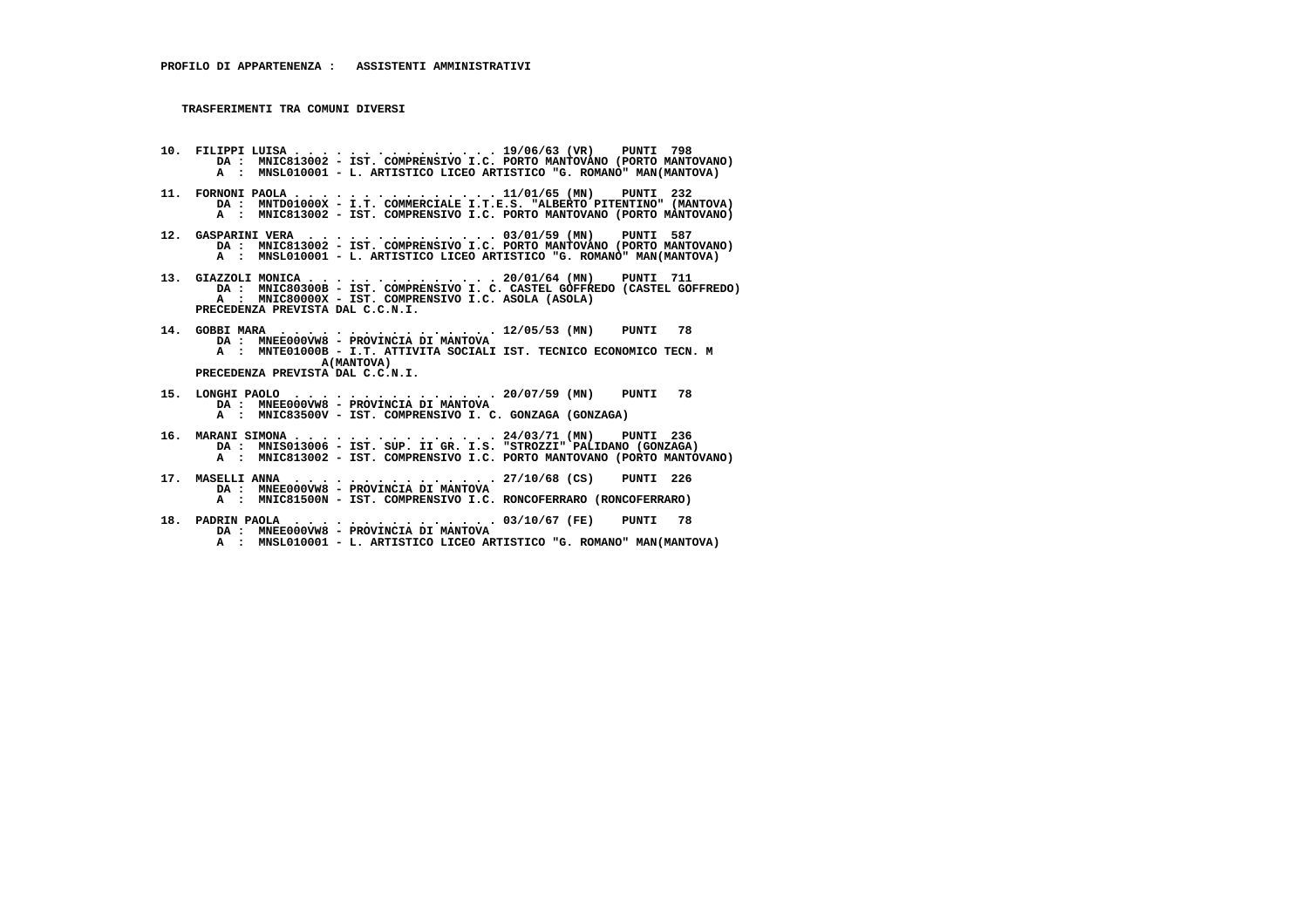**10. FILIPPI LUISA . . . . . . . . . . . . . . . 19/06/63 (VR) PUNTI 798 DA : MNIC813002 - IST. COMPRENSIVO I.C. PORTO MANTOVANO (PORTO MANTOVANO) A : MNSL010001 - L. ARTISTICO LICEO ARTISTICO "G. ROMANO" MAN(MANTOVA)**

- **11. FORNONI PAOLA . . . . . . . . . . . . . . . 11/01/65 (MN) PUNTI 232 DA : MNTD01000X - I.T. COMMERCIALE I.T.E.S. "ALBERTO PITENTINO" (MANTOVA) A : MNIC813002 - IST. COMPRENSIVO I.C. PORTO MANTOVANO (PORTO MANTOVANO)**
- **12. GASPARINI VERA . . . . . . . . . . . . . . 03/01/59 (MN) PUNTI 587 DA : MNIC813002 IST. COMPRENSIVO I.C. PORTO MANTOVANO (PORTO MANTOVANO) A : MNSL010001 - L. ARTISTICO LICEO ARTISTICO "G. ROMANO" MAN(MANTOVA)**
- **13. GIAZZOLI MONICA . . . . . . . . . . . . . . 20/01/64 (MN) PUNTI 711 DA : MNIC80300B IST. COMPRENSIVO I. C. CASTEL GOFFREDO (CASTEL GOFFREDO) A : MNIC80000X - IST. COMPRENSIVO I.C. ASOLA (ASOLA) PRECEDENZA PREVISTA DAL C.C.N.I.**
- **14. GOBBI MARA . . . . . . . . . . . . . . . . 12/05/53 (MN) PUNTI 78 DA : MNEE000VW8 - PROVINCIA DI MANTOVA A : MNTE01000B - I.T. ATTIVITA SOCIALI IST. TECNICO ECONOMICO TECN. M A(MANTOVA) PRECEDENZA PREVISTA DAL C.C.N.I.**
- **15. LONGHI PAOLO . . . . . . . . . . . . . . . 20/07/59 (MN) PUNTI 78 DA : MNEE000VW8 PROVINCIA DI MANTOVA A : MNIC83500V - IST. COMPRENSIVO I. C. GONZAGA (GONZAGA)**
- **16. MARANI SIMONA . . . . . . . . . . . . . . . 24/03/71 (MN) PUNTI 236 DA : MNIS013006 - IST. SUP. II GR. I.S. "STROZZI" PALIDANO (GONZAGA) A : MNIC813002 - IST. COMPRENSIVO I.C. PORTO MANTOVANO (PORTO MANTOVANO)**
- **17. MASELLI ANNA . . . . . . . . . . . . . . . 27/10/68 (CS) PUNTI 226 DA : MNEE000VW8 - PROVINCIA DI MANTOVA A : MNIC81500N - IST. COMPRENSIVO I.C. RONCOFERRARO (RONCOFERRARO)**
- **18. PADRIN PAOLA . . . . . . . . . . . . . . . 03/10/67 (FE) PUNTI 78 DA : MNEE000VW8 PROVINCIA DI MANTOVA**
- **A : MNSL010001 L. ARTISTICO LICEO ARTISTICO "G. ROMANO" MAN(MANTOVA)**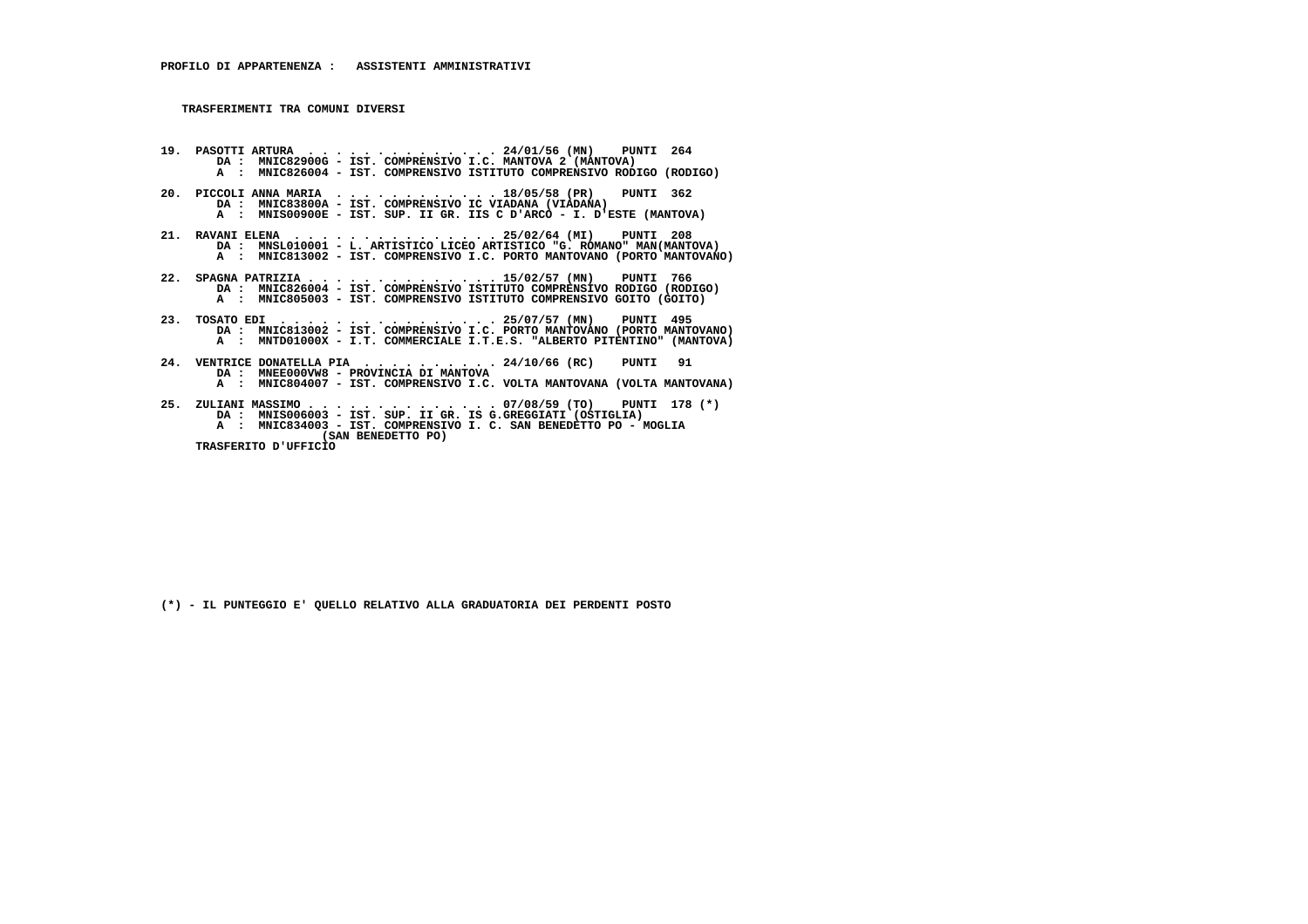**19. PASOTTI ARTURA . . . . . . . . . . . . . . 24/01/56 (MN) PUNTI 264 DA : MNIC82900G - IST. COMPRENSIVO I.C. MANTOVA 2 (MANTOVA) A : MNIC826004 - IST. COMPRENSIVO ISTITUTO COMPRENSIVO RODIGO (RODIGO) 20. PICCOLI ANNA MARIA . . . . . . . . . . . . 18/05/58 (PR) PUNTI 362 DA : MNIC83800A - IST. COMPRENSIVO IC VIADANA (VIADANA) A : MNIS00900E - IST. SUP. II GR. IIS C D'ARCO - I. D'ESTE (MANTOVA) 21. RAVANI ELENA . . . . . . . . . . . . . . . 25/02/64 (MI) PUNTI 208 DA : MNSL010001 - L. ARTISTICO LICEO ARTISTICO "G. ROMANO" MAN(MANTOVA) A : MNIC813002 - IST. COMPRENSIVO I.C. PORTO MANTOVANO (PORTO MANTOVANO) 22. SPAGNA PATRIZIA . . . . . . . . . . . . . . 15/02/57 (MN) PUNTI 766 DA : MNIC826004 - IST. COMPRENSIVO ISTITUTO COMPRENSIVO RODIGO (RODIGO) A : MNIC805003 - IST. COMPRENSIVO ISTITUTO COMPRENSIVO GOITO (GOITO) 23. TOSATO EDI . . . . . . . . . . . . . . . . 25/07/57 (MN) PUNTI 495 DA : MNIC813002 - IST. COMPRENSIVO I.C. PORTO MANTOVANO (PORTO MANTOVANO) A : MNTD01000X - I.T. COMMERCIALE I.T.E.S. "ALBERTO PITENTINO" (MANTOVA) 24. VENTRICE DONATELLA PIA . . . . . . . . . . 24/10/66 (RC) PUNTI 91 DA : MNEE000VW8 - PROVINCIA DI MANTOVA A : MNIC804007 - IST. COMPRENSIVO I.C. VOLTA MANTOVANA (VOLTA MANTOVANA) 25. ZULIANI MASSIMO . . . . . . . . . . . . . . 07/08/59 (TO) PUNTI 178 (\*) DA : MNIS006003 - IST. SUP. II GR. IS G.GREGGIATI (OSTIGLIA) A : MNIC834003 - IST. COMPRENSIVO I. C. SAN BENEDETTO PO - MOGLIA (SAN BENEDETTO PO)**

 **TRASFERITO D'UFFICIO**

 **(\*) - IL PUNTEGGIO E' QUELLO RELATIVO ALLA GRADUATORIA DEI PERDENTI POSTO**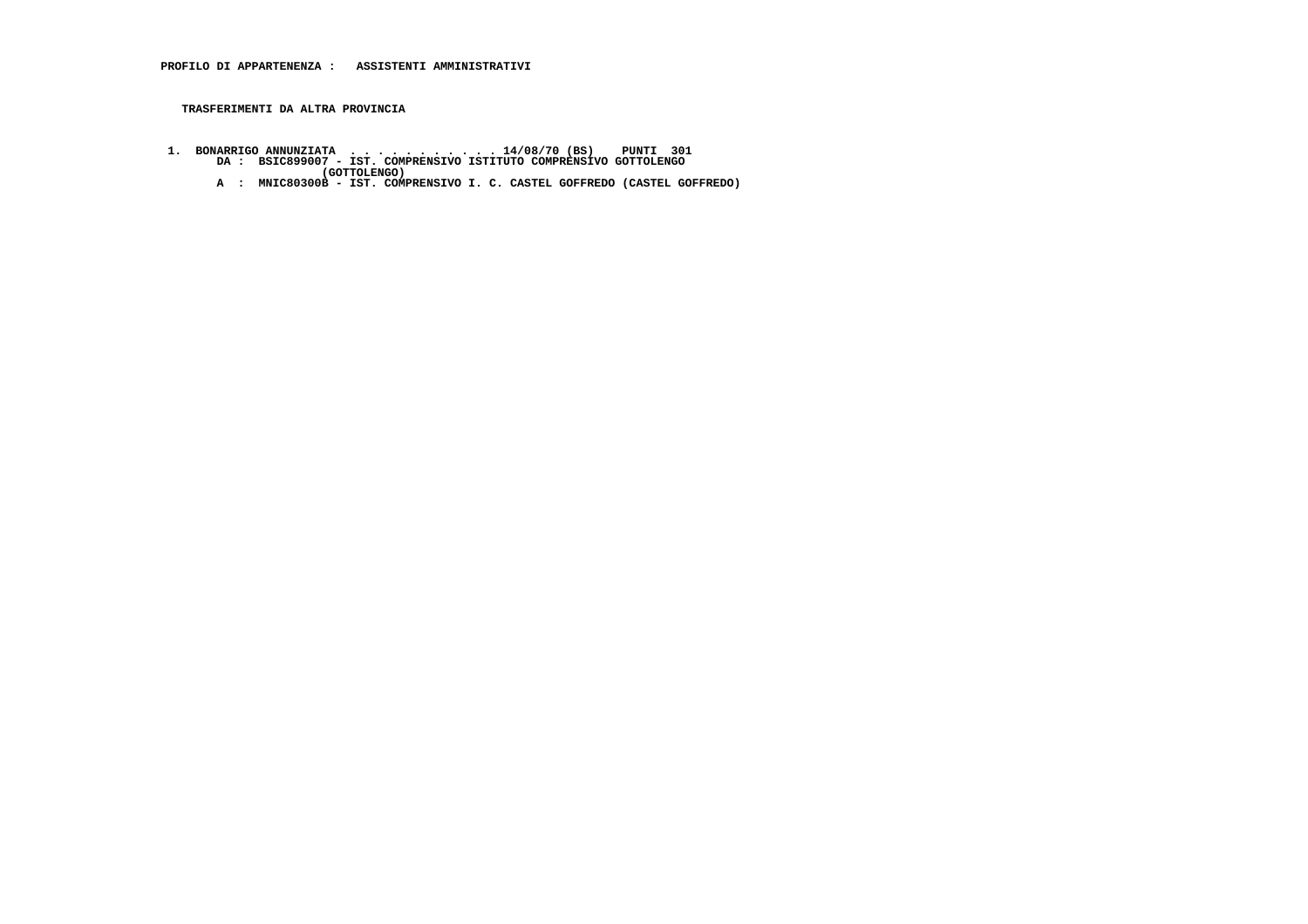## **TRASFERIMENTI DA ALTRA PROVINCIA**

- 1. BONARRIGO ANNUNZIATA .................14/08/70 (BS) PUNTI 301<br>DA : BSIC899007 IST.COMPRENSIVO ISTITUTO COMPRENSIVO GOTTOLENGO<br>A : MNIC80300B IST.COMPRENSIVO I.C.CASTEL GOFFREDO (CASTEL GOFFREDO)
	-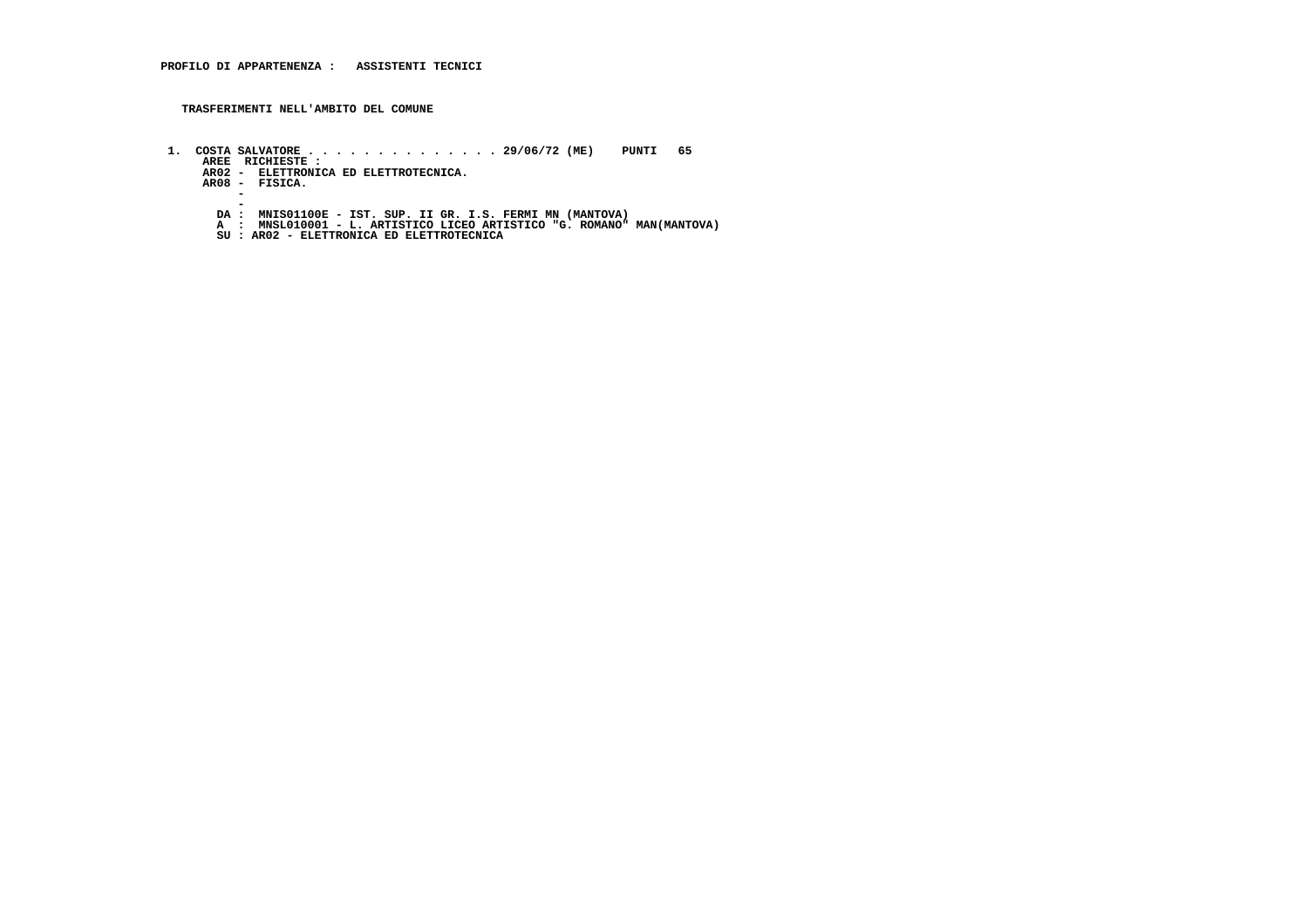**1. COSTA SALVATORE . . . . . . . . . . . . . . 29/06/72 (ME) PUNTI 65 AREE RICHIESTE :**

- **AR02 ELETTRONICA ED ELETTROTECNICA. AR08 FISICA.**
	-
- **-**
	- $\overline{\phantom{a}}$
	-
- **- DA : MNIS01100E IST. SUP. II GR. I.S. FERMI MN (MANTOVA) A : MNSL010001 L. ARTISTICO LICEO ARTISTICO "G. ROMANO" MAN(MANTOVA) SU : AR02 ELETTRONICA ED ELETTROTECNICA**
	-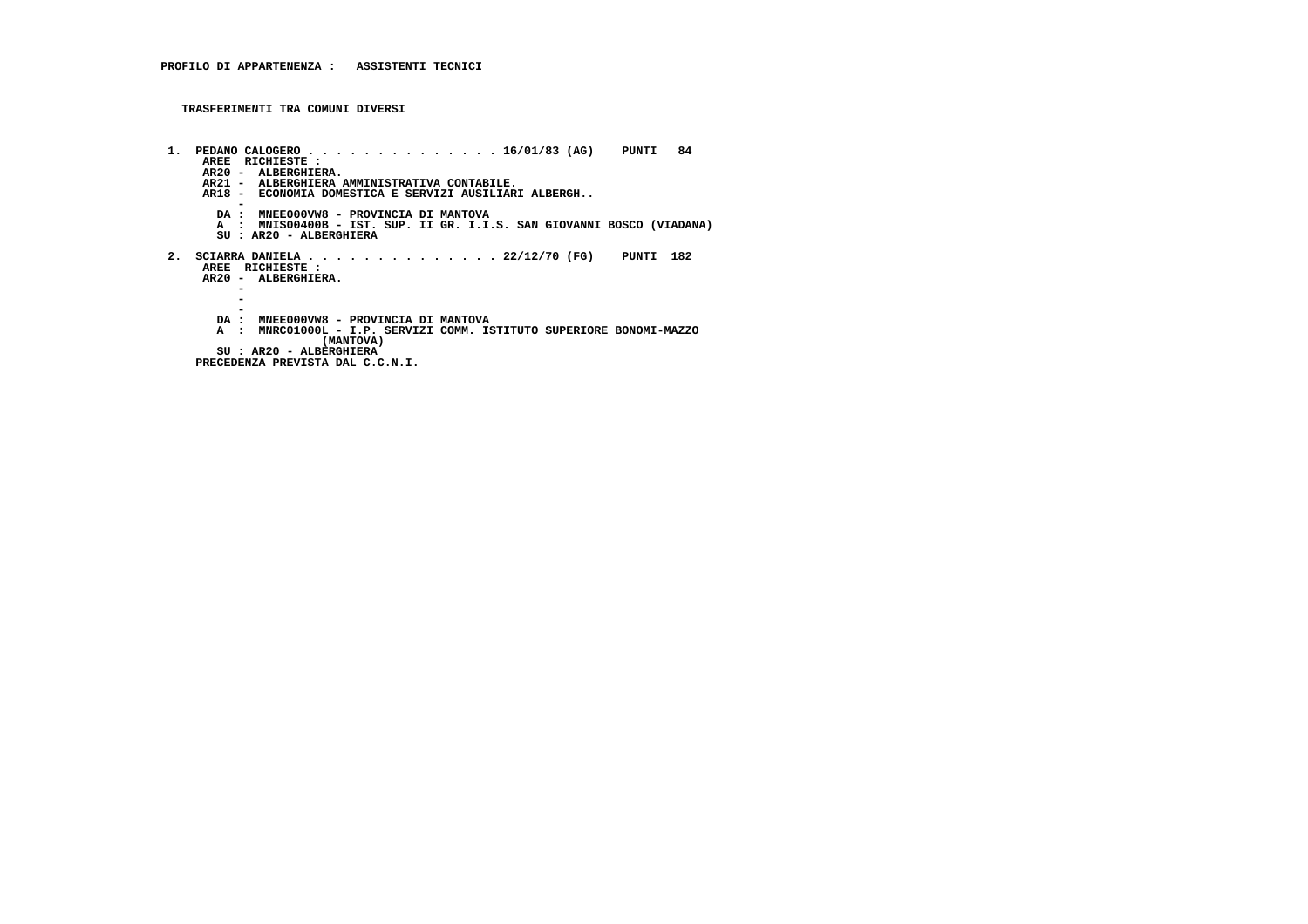**1. PEDANO CALOGERO . . . . . . . . . . . . . . 16/01/83 (AG) PUNTI 84 AREE RICHIESTE : AR20 - ALBERGHIERA. AR21 - ALBERGHIERA AMMINISTRATIVA CONTABILE. AR18 - ECONOMIA DOMESTICA E SERVIZI AUSILIARI ALBERGH.. - DA : MNEE000VW8 - PROVINCIA DI MANTOVA A : MNIS00400B - IST. SUP. II GR. I.I.S. SAN GIOVANNI BOSCO (VIADANA) SU : AR20 - ALBERGHIERA 2. SCIARRA DANIELA . . . . . . . . . . . . . . 22/12/70 (FG) PUNTI 182 AREE RICHIESTE : AR20 - ALBERGHIERA. -** $\sim$  **-** $\sim$  **- DA : MNEE000VW8 - PROVINCIA DI MANTOVA A : MNRC01000L - I.P. SERVIZI COMM. ISTITUTO SUPERIORE BONOMI-MAZZO (MANTOVA) SU : AR20 - ALBERGHIERA PRECEDENZA PREVISTA DAL C.C.N.I.**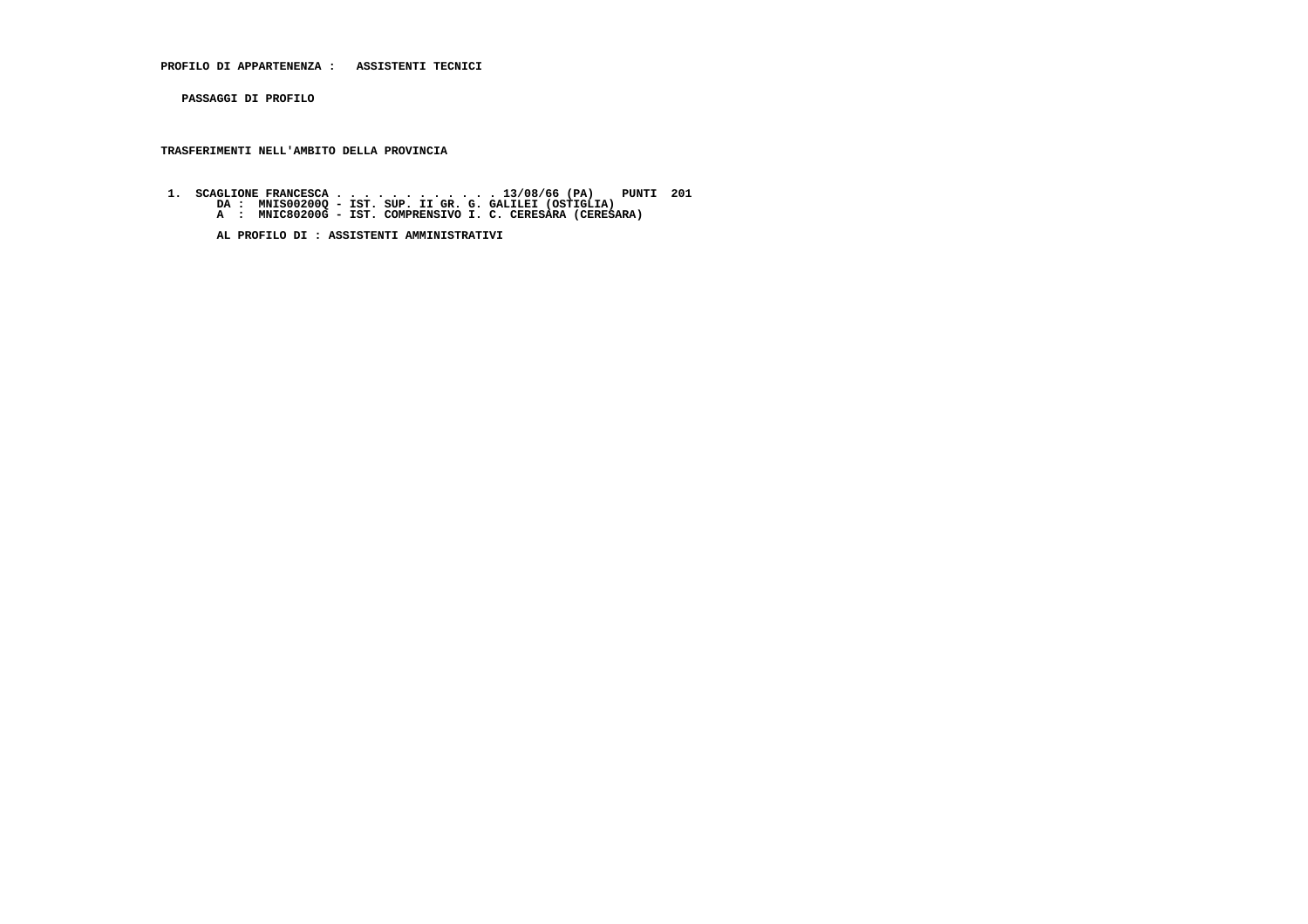**PROFILO DI APPARTENENZA : ASSISTENTI TECNICI**

 **PASSAGGI DI PROFILO**

 **TRASFERIMENTI NELL'AMBITO DELLA PROVINCIA**

 **1. SCAGLIONE FRANCESCA . . . . . . . . . . . . 13/08/66 (PA) PUNTI 201 DA : MNIS00200Q - IST. SUP. II GR. G. GALILEI (OSTIGLIA) A : MNIC80200G - IST. COMPRENSIVO I. C. CERESARA (CERESARA)**

 **AL PROFILO DI : ASSISTENTI AMMINISTRATIVI**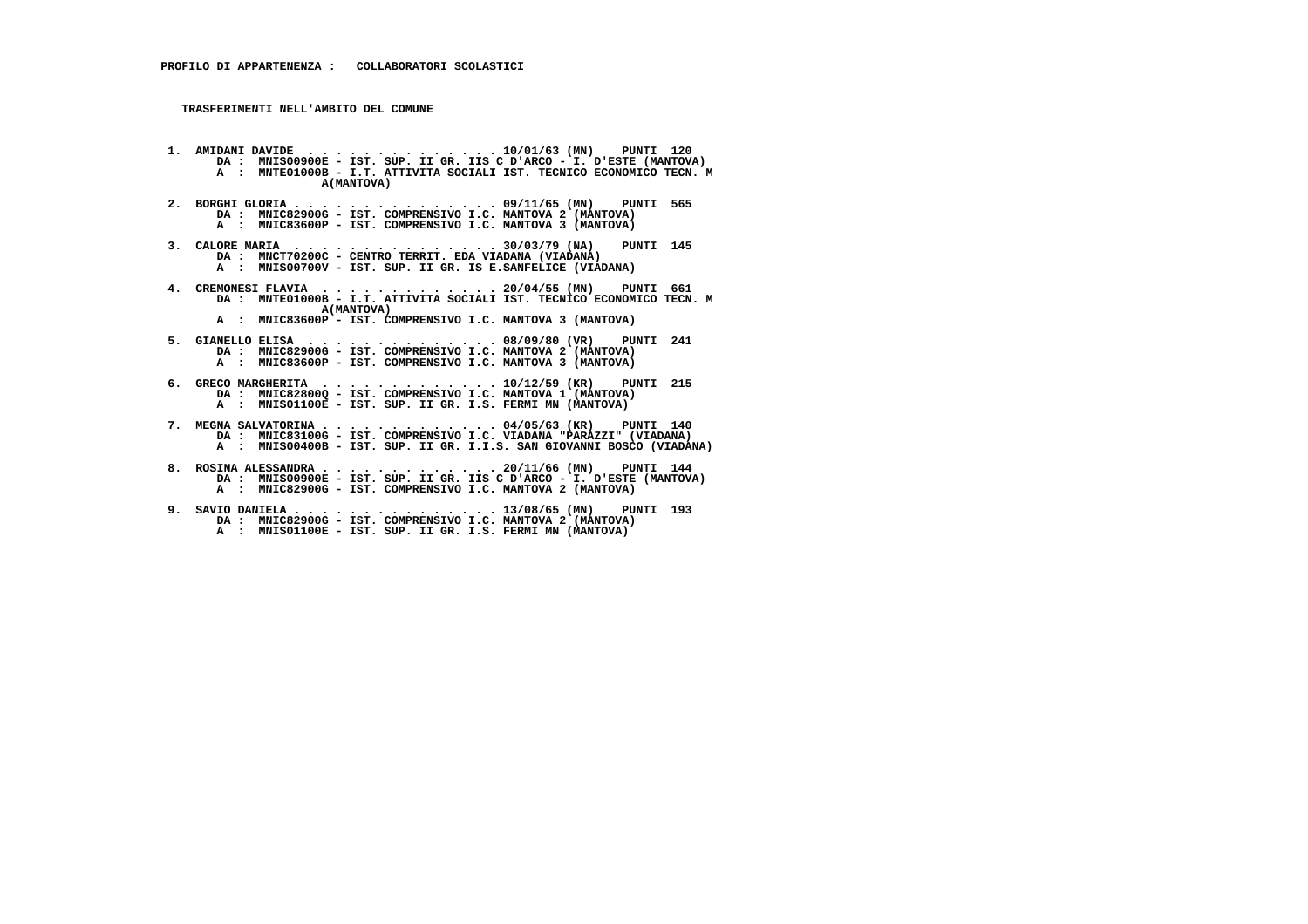- **1. AMIDANI DAVIDE . . . . . . . . . . . . . . 10/01/63 (MN) PUNTI 120 DA : MNIS00900E IST. SUP. II GR. IIS C D'ARCO I. D'ESTE (MANTOVA) A : MNTE01000B - I.T. ATTIVITA SOCIALI IST. TECNICO ECONOMICO TECN. M A(MANTOVA)**
- **2. BORGHI GLORIA . . . . . . . . . . . . . . . 09/11/65 (MN) PUNTI 565 DA : MNIC82900G IST. COMPRENSIVO I.C. MANTOVA 2 (MANTOVA) A : MNIC83600P - IST. COMPRENSIVO I.C. MANTOVA 3 (MANTOVA)**
- **3. CALORE MARIA . . . . . . . . . . . . . . . 30/03/79 (NA) PUNTI 145 DA : MNCT70200C CENTRO TERRIT. EDA VIADANA (VIADANA) A : MNIS00700V - IST. SUP. II GR. IS E.SANFELICE (VIADANA)**
- **4. CREMONESI FLAVIA . . . . . . . . . . . . . 20/04/55 (MN) PUNTI 661 DA : MNTE01000B - I.T. ATTIVITA SOCIALI IST. TECNICO ECONOMICO TECN. M A(MANTOVA) A : MNIC83600P - IST. COMPRENSIVO I.C. MANTOVA 3 (MANTOVA)**
- **5. GIANELLO ELISA . . . . . . . . . . . . . . 08/09/80 (VR) PUNTI 241 DA : MNIC82900G IST. COMPRENSIVO I.C. MANTOVA 2 (MANTOVA) A : MNIC83600P - IST. COMPRENSIVO I.C. MANTOVA 3 (MANTOVA)**
- **6. GRECO MARGHERITA . . . . . . . . . . . . . 10/12/59 (KR) PUNTI 215 DA : MNIC82800Q IST. COMPRENSIVO I.C. MANTOVA 1 (MANTOVA) A : MNIS01100E - IST. SUP. II GR. I.S. FERMI MN (MANTOVA)**
- **7. MEGNA SALVATORINA . . . . . . . . . . . . . 04/05/63 (KR) PUNTI 140 DA : MNIC83100G IST. COMPRENSIVO I.C. VIADANA "PARAZZI" (VIADANA) A : MNIS00400B - IST. SUP. II GR. I.I.S. SAN GIOVANNI BOSCO (VIADANA)**
- **8. ROSINA ALESSANDRA . . . . . . . . . . . . . 20/11/66 (MN) PUNTI 144 DA : MNIS00900E IST. SUP. II GR. IIS C D'ARCO I. D'ESTE (MANTOVA) A : MNIC82900G - IST. COMPRENSIVO I.C. MANTOVA 2 (MANTOVA)**
- **9. SAVIO DANIELA . . . . . . . . . . . . . . . 13/08/65 (MN) PUNTI 193 DA : MNIC82900G IST. COMPRENSIVO I.C. MANTOVA 2 (MANTOVA) A : MNIS01100E - IST. SUP. II GR. I.S. FERMI MN (MANTOVA)**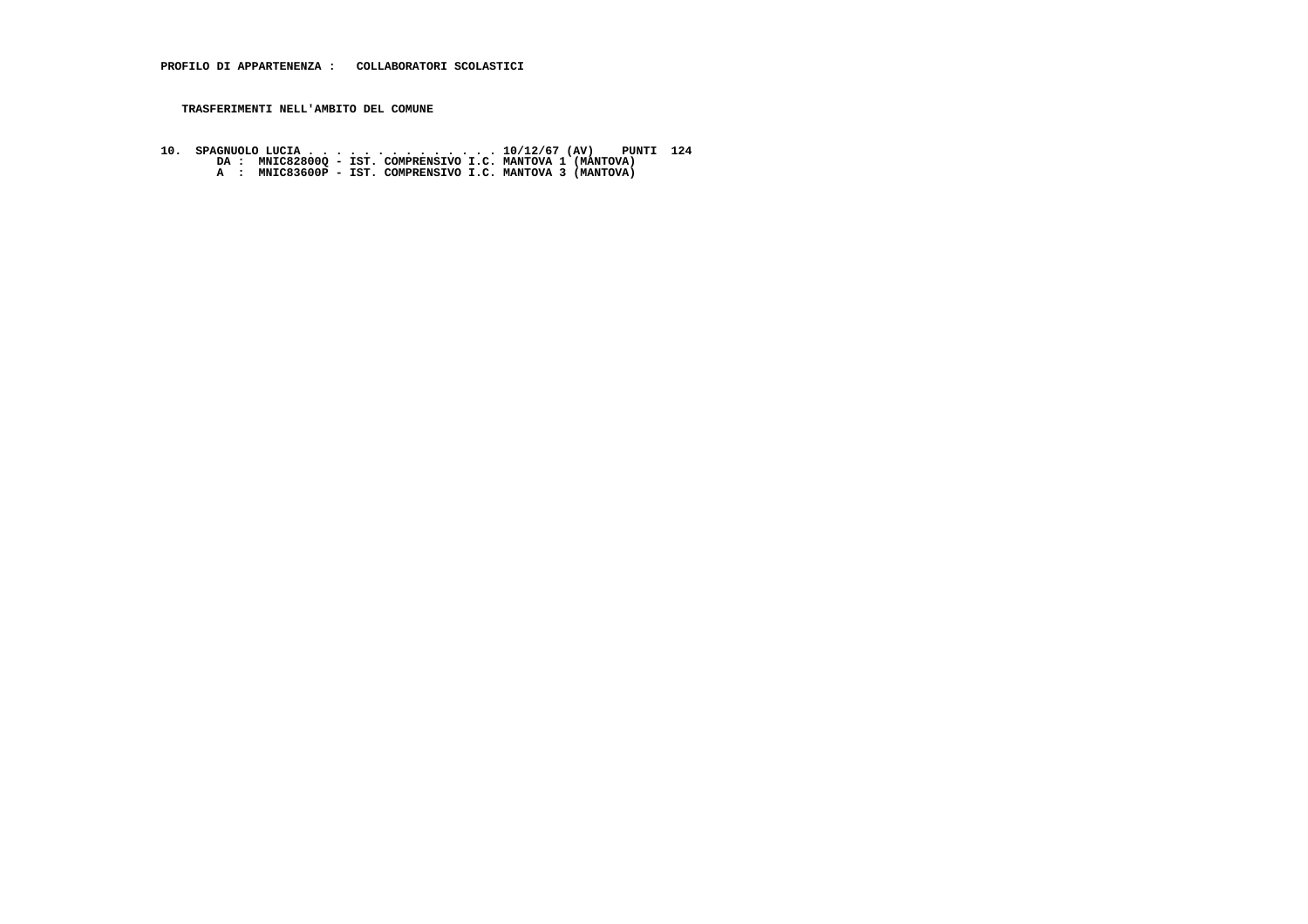**10. SPAGNUOLO LUCIA . . . . . . . . . . . . . . 10/12/67 (AV) PUNTI 124 DA : MNIC82800Q - IST. COMPRENSIVO I.C. MANTOVA 1 (MANTOVA) A : MNIC83600P - IST. COMPRENSIVO I.C. MANTOVA 3 (MANTOVA)**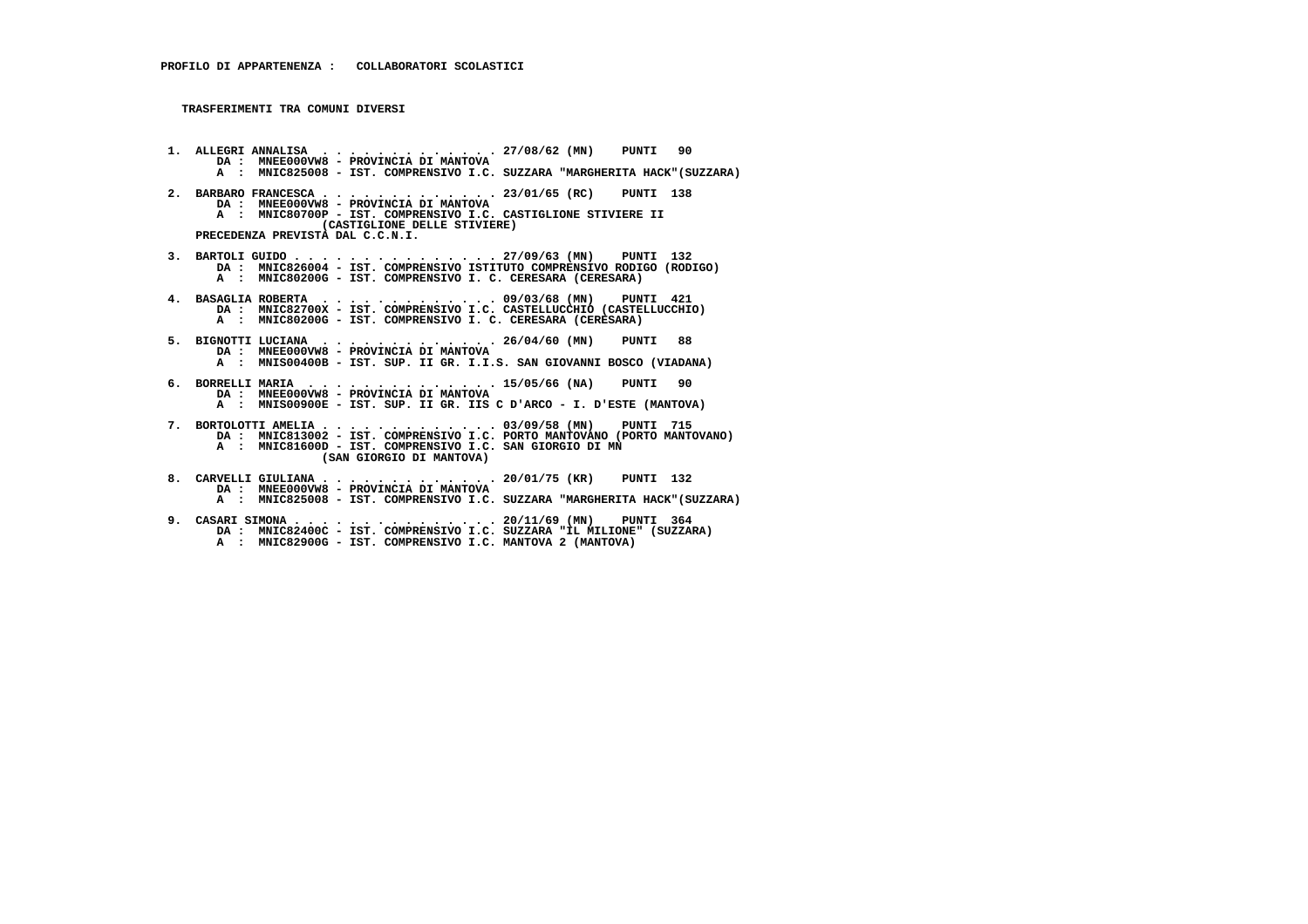**1. ALLEGRI ANNALISA . . . . . . . . . . . . . 27/08/62 (MN) PUNTI 90 DA : MNEE000VW8 - PROVINCIA DI MANTOVA A : MNIC825008 - IST. COMPRENSIVO I.C. SUZZARA "MARGHERITA HACK"(SUZZARA) 2. BARBARO FRANCESCA . . . . . . . . . . . . . 23/01/65 (RC) PUNTI 138 DA : MNEE000VW8 - PROVINCIA DI MANTOVA A : MNIC80700P - IST. COMPRENSIVO I.C. CASTIGLIONE STIVIERE II (CASTIGLIONE DELLE STIVIERE) PRECEDENZA PREVISTA DAL C.C.N.I. 3. BARTOLI GUIDO . . . . . . . . . . . . . . . 27/09/63 (MN) PUNTI 132 DA : MNIC826004 - IST. COMPRENSIVO ISTITUTO COMPRENSIVO RODIGO (RODIGO) A : MNIC80200G - IST. COMPRENSIVO I. C. CERESARA (CERESARA) 4. BASAGLIA ROBERTA . . . . . . . . . . . . . 09/03/68 (MN) PUNTI 421 DA : MNIC82700X - IST. COMPRENSIVO I.C. CASTELLUCCHIO (CASTELLUCCHIO) A : MNIC80200G - IST. COMPRENSIVO I. C. CERESARA (CERESARA) 5. BIGNOTTI LUCIANA . . . . . . . . . . . . . 26/04/60 (MN) PUNTI 88 DA : MNEE000VW8 - PROVINCIA DI MANTOVA A : MNIS00400B - IST. SUP. II GR. I.I.S. SAN GIOVANNI BOSCO (VIADANA) 6. BORRELLI MARIA . . . . . . . . . . . . . . 15/05/66 (NA) PUNTI 90 DA : MNEE000VW8 - PROVINCIA DI MANTOVA A : MNIS00900E - IST. SUP. II GR. IIS C D'ARCO - I. D'ESTE (MANTOVA) 7. BORTOLOTTI AMELIA . . . . . . . . . . . . . 03/09/58 (MN) PUNTI 715 DA : MNIC813002 - IST. COMPRENSIVO I.C. PORTO MANTOVANO (PORTO MANTOVANO) A : MNIC81600D - IST. COMPRENSIVO I.C. SAN GIORGIO DI MN (SAN GIORGIO DI MANTOVA) 8. CARVELLI GIULIANA . . . . . . . . . . . . . 20/01/75 (KR) PUNTI 132 DA : MNEE000VW8 - PROVINCIA DI MANTOVA A : MNIC825008 - IST. COMPRENSIVO I.C. SUZZARA "MARGHERITA HACK"(SUZZARA) 9. CASARI SIMONA . . . . . . . . . . . . . . . 20/11/69 (MN) PUNTI 364 DA : MNIC82400C - IST. COMPRENSIVO I.C. SUZZARA "IL MILIONE" (SUZZARA)**

 **A : MNIC82900G - IST. COMPRENSIVO I.C. MANTOVA 2 (MANTOVA)**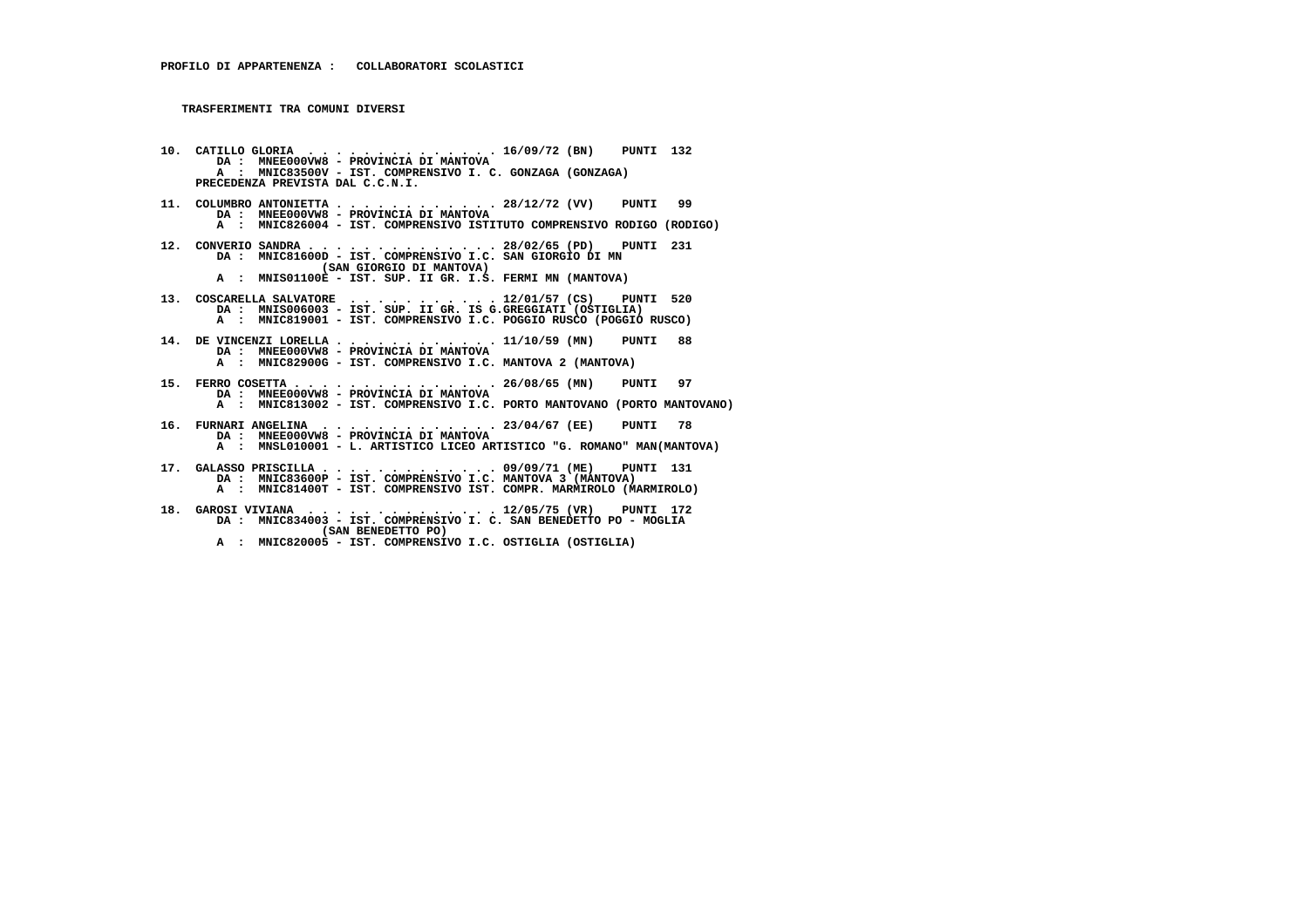- **10. CATILLO GLORIA . . . . . . . . . . . . . . 16/09/72 (BN) PUNTI 132 DA : MNEE000VW8 PROVINCIA DI MANTOVA A : MNIC83500V - IST. COMPRENSIVO I. C. GONZAGA (GONZAGA) PRECEDENZA PREVISTA DAL C.C.N.I.**
- **11. COLUMBRO ANTONIETTA . . . . . . . . . . . . 28/12/72 (VV) PUNTI 99 DA : MNEE000VW8 - PROVINCIA DI MANTOVA A : MNIC826004 - IST. COMPRENSIVO ISTITUTO COMPRENSIVO RODIGO (RODIGO)**
- **12. CONVERIO SANDRA . . . . . . . . . . . . . . 28/02/65 (PD) PUNTI 231 DA : MNIC81600D IST. COMPRENSIVO I.C. SAN GIORGIO DI MN (SAN GIORGIO DI MANTOVA)**
- **A : MNIS01100E IST. SUP. II GR. I.S. FERMI MN (MANTOVA)**
- **13. COSCARELLA SALVATORE . . . . . . . . . . . 12/01/57 (CS) PUNTI 520 DA : MNIS006003 IST. SUP. II GR. IS G.GREGGIATI (OSTIGLIA) A : MNIC819001 - IST. COMPRENSIVO I.C. POGGIO RUSCO (POGGIO RUSCO)**
- **14. DE VINCENZI LORELLA . . . . . . . . . . . . 11/10/59 (MN) PUNTI 88 DA : MNEE000VW8 PROVINCIA DI MANTOVA A : MNIC82900G - IST. COMPRENSIVO I.C. MANTOVA 2 (MANTOVA)**
- **15. FERRO COSETTA . . . . . . . . . . . . . . . 26/08/65 (MN) PUNTI 97 DA : MNEE000VW8 - PROVINCIA DI MANTOVA A : MNIC813002 - IST. COMPRENSIVO I.C. PORTO MANTOVANO (PORTO MANTOVANO)**
- **16. FURNARI ANGELINA . . . . . . . . . . . . . 23/04/67 (EE) PUNTI 78 DA : MNEE000VW8 PROVINCIA DI MANTOVA A : MNSL010001 - L. ARTISTICO LICEO ARTISTICO "G. ROMANO" MAN(MANTOVA)**
- **17. GALASSO PRISCILLA . . . . . . . . . . . . . 09/09/71 (ME) PUNTI 131 DA : MNIC83600P IST. COMPRENSIVO I.C. MANTOVA 3 (MANTOVA) A : MNIC81400T - IST. COMPRENSIVO IST. COMPR. MARMIROLO (MARMIROLO)**
- **18. GAROSI VIVIANA . . . . . . . . . . . . . . 12/05/75 (VR) PUNTI 172 DA : MNIC834003 IST. COMPRENSIVO I. C. SAN BENEDETTO PO MOGLIA (SAN BENEDETTO PO) A : MNIC820005 - IST. COMPRENSIVO I.C. OSTIGLIA (OSTIGLIA)**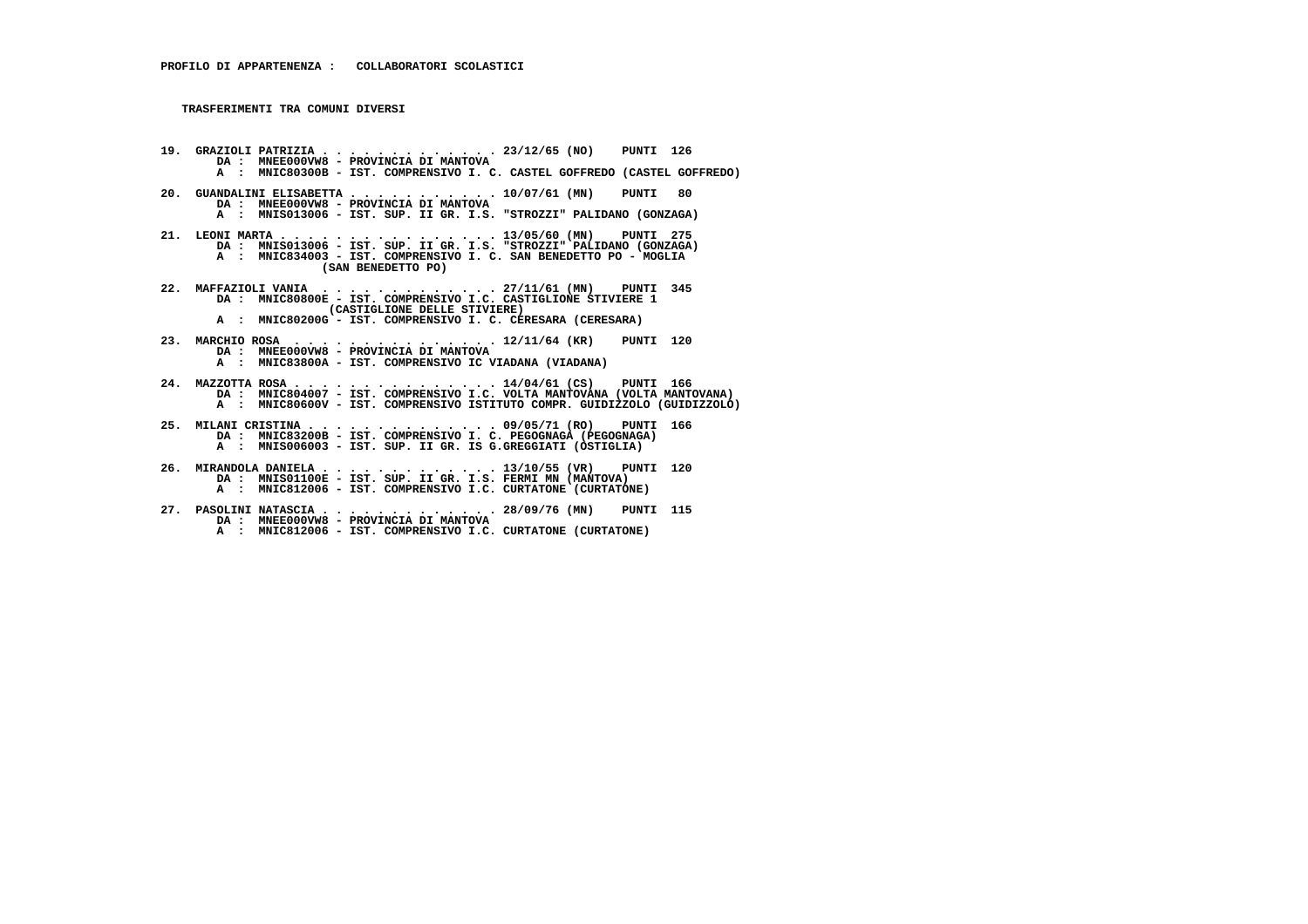**19. GRAZIOLI PATRIZIA . . . . . . . . . . . . . 23/12/65 (NO) PUNTI 126 DA : MNEE000VW8 - PROVINCIA DI MANTOVA A : MNIC80300B - IST. COMPRENSIVO I. C. CASTEL GOFFREDO (CASTEL GOFFREDO) 20. GUANDALINI ELISABETTA . . . . . . . . . . . 10/07/61 (MN) PUNTI 80 DA : MNEE000VW8 - PROVINCIA DI MANTOVA A : MNIS013006 - IST. SUP. II GR. I.S. "STROZZI" PALIDANO (GONZAGA) 21. LEONI MARTA . . . . . . . . . . . . . . . . 13/05/60 (MN) PUNTI 275 DA : MNIS013006 - IST. SUP. II GR. I.S. "STROZZI" PALIDANO (GONZAGA) A : MNIC834003 - IST. COMPRENSIVO I. C. SAN BENEDETTO PO - MOGLIA (SAN BENEDETTO PO) 22. MAFFAZIOLI VANIA . . . . . . . . . . . . . 27/11/61 (MN) PUNTI 345 DA : MNIC80800E - IST. COMPRENSIVO I.C. CASTIGLIONE STIVIERE 1 (CASTIGLIONE DELLE STIVIERE) A : MNIC80200G - IST. COMPRENSIVO I. C. CERESARA (CERESARA) 23. MARCHIO ROSA . . . . . . . . . . . . . . . 12/11/64 (KR) PUNTI 120 DA : MNEE000VW8 - PROVINCIA DI MANTOVA A : MNIC83800A - IST. COMPRENSIVO IC VIADANA (VIADANA) 24. MAZZOTTA ROSA . . . . . . . . . . . . . . . 14/04/61 (CS) PUNTI 166 DA : MNIC804007 - IST. COMPRENSIVO I.C. VOLTA MANTOVANA (VOLTA MANTOVANA) A : MNIC80600V - IST. COMPRENSIVO ISTITUTO COMPR. GUIDIZZOLO (GUIDIZZOLO) 25. MILANI CRISTINA . . . . . . . . . . . . . . 09/05/71 (RO) PUNTI 166 DA : MNIC83200B - IST. COMPRENSIVO I. C. PEGOGNAGA (PEGOGNAGA) A : MNIS006003 - IST. SUP. II GR. IS G.GREGGIATI (OSTIGLIA) 26. MIRANDOLA DANIELA . . . . . . . . . . . . . 13/10/55 (VR) PUNTI 120 DA : MNIS01100E - IST. SUP. II GR. I.S. FERMI MN (MANTOVA) A : MNIC812006 - IST. COMPRENSIVO I.C. CURTATONE (CURTATONE) 27. PASOLINI NATASCIA . . . . . . . . . . . . . 28/09/76 (MN) PUNTI 115 DA : MNEE000VW8 - PROVINCIA DI MANTOVA A : MNIC812006 - IST. COMPRENSIVO I.C. CURTATONE (CURTATONE)**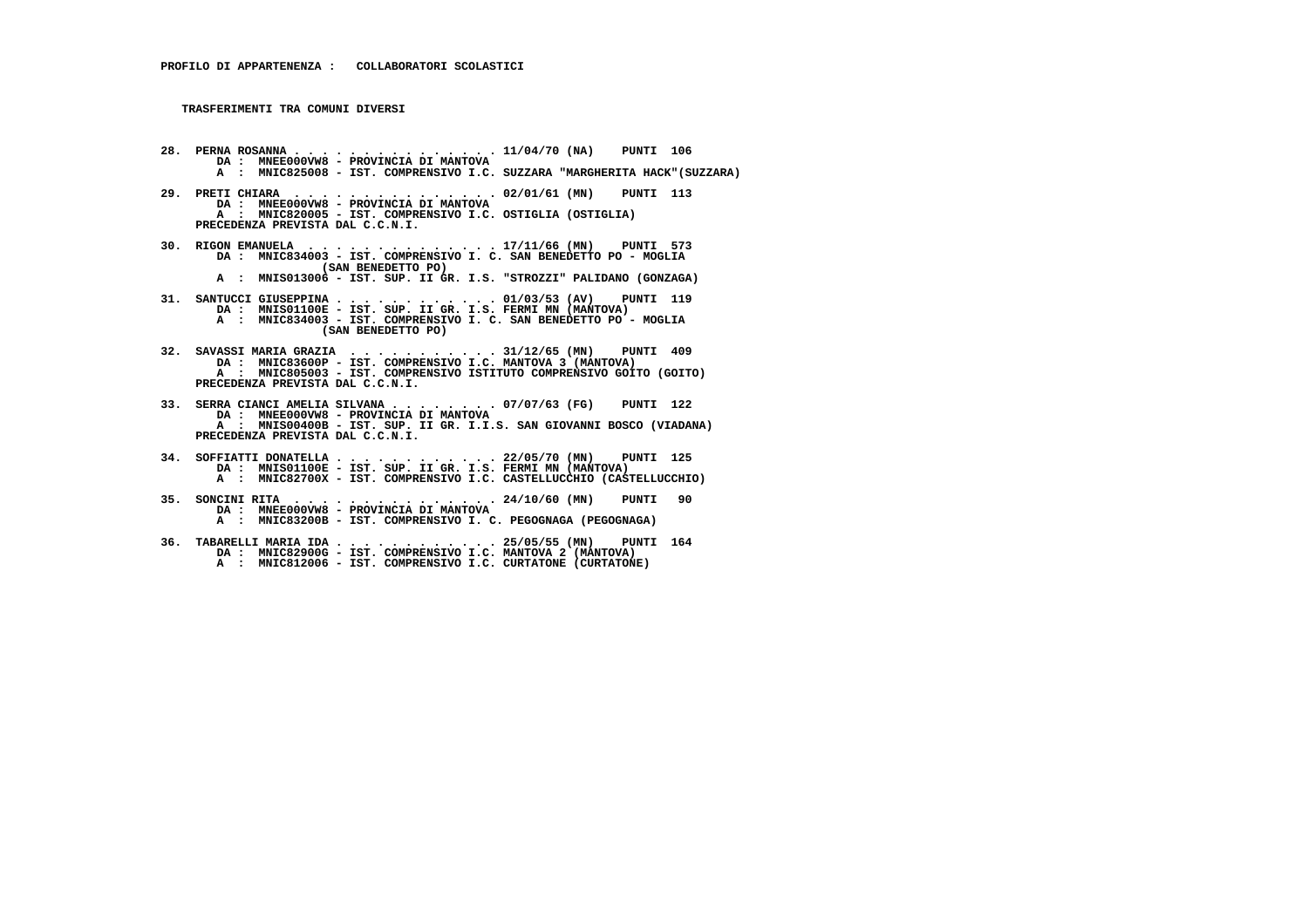- **28. PERNA ROSANNA . . . . . . . . . . . . . . . 11/04/70 (NA) PUNTI 106 DA : MNEE000VW8 PROVINCIA DI MANTOVA A : MNIC825008 - IST. COMPRENSIVO I.C. SUZZARA "MARGHERITA HACK"(SUZZARA)**
- **29. PRETI CHIARA . . . . . . . . . . . . . . . 02/01/61 (MN) PUNTI 113 DA : MNEE000VW8 - PROVINCIA DI MANTOVA A : MNIC820005 - IST. COMPRENSIVO I.C. OSTIGLIA (OSTIGLIA) PRECEDENZA PREVISTA DAL C.C.N.I.**
- **30. RIGON EMANUELA . . . . . . . . . . . . . . 17/11/66 (MN) PUNTI 573 DA : MNIC834003 IST. COMPRENSIVO I. C. SAN BENEDETTO PO MOGLIA (SAN BENEDETTO PO)**
- **A : MNIS013006 IST. SUP. II GR. I.S. "STROZZI" PALIDANO (GONZAGA)**
- **31. SANTUCCI GIUSEPPINA . . . . . . . . . . . . 01/03/53 (AV) PUNTI 119 DA : MNIS01100E IST. SUP. II GR. I.S. FERMI MN (MANTOVA) A : MNIC834003 - IST. COMPRENSIVO I. C. SAN BENEDETTO PO - MOGLIA (SAN BENEDETTO PO)**
- **32. SAVASSI MARIA GRAZIA . . . . . . . . . . . 31/12/65 (MN) PUNTI 409 DA : MNIC83600P IST. COMPRENSIVO I.C. MANTOVA 3 (MANTOVA) A : MNIC805003 - IST. COMPRENSIVO ISTITUTO COMPRENSIVO GOITO (GOITO) PRECEDENZA PREVISTA DAL C.C.N.I.**
- **33. SERRA CIANCI AMELIA SILVANA . . . . . . . . 07/07/63 (FG) PUNTI 122 DA : MNEE000VW8 PROVINCIA DI MANTOVA A : MNIS00400B - IST. SUP. II GR. I.I.S. SAN GIOVANNI BOSCO (VIADANA) PRECEDENZA PREVISTA DAL C.C.N.I.**
- **34. SOFFIATTI DONATELLA . . . . . . . . . . . . 22/05/70 (MN) PUNTI 125 DA : MNIS01100E IST. SUP. II GR. I.S. FERMI MN (MANTOVA) A : MNIC82700X - IST. COMPRENSIVO I.C. CASTELLUCCHIO (CASTELLUCCHIO)**
- **35. SONCINI RITA . . . . . . . . . . . . . . . 24/10/60 (MN) PUNTI 90 DA : MNEE000VW8 PROVINCIA DI MANTOVA A : MNIC83200B - IST. COMPRENSIVO I. C. PEGOGNAGA (PEGOGNAGA)**
- **36. TABARELLI MARIA IDA . . . . . . . . . . . . 25/05/55 (MN) PUNTI 164 DA : MNIC82900G IST. COMPRENSIVO I.C. MANTOVA 2 (MANTOVA) A : MNIC812006 - IST. COMPRENSIVO I.C. CURTATONE (CURTATONE)**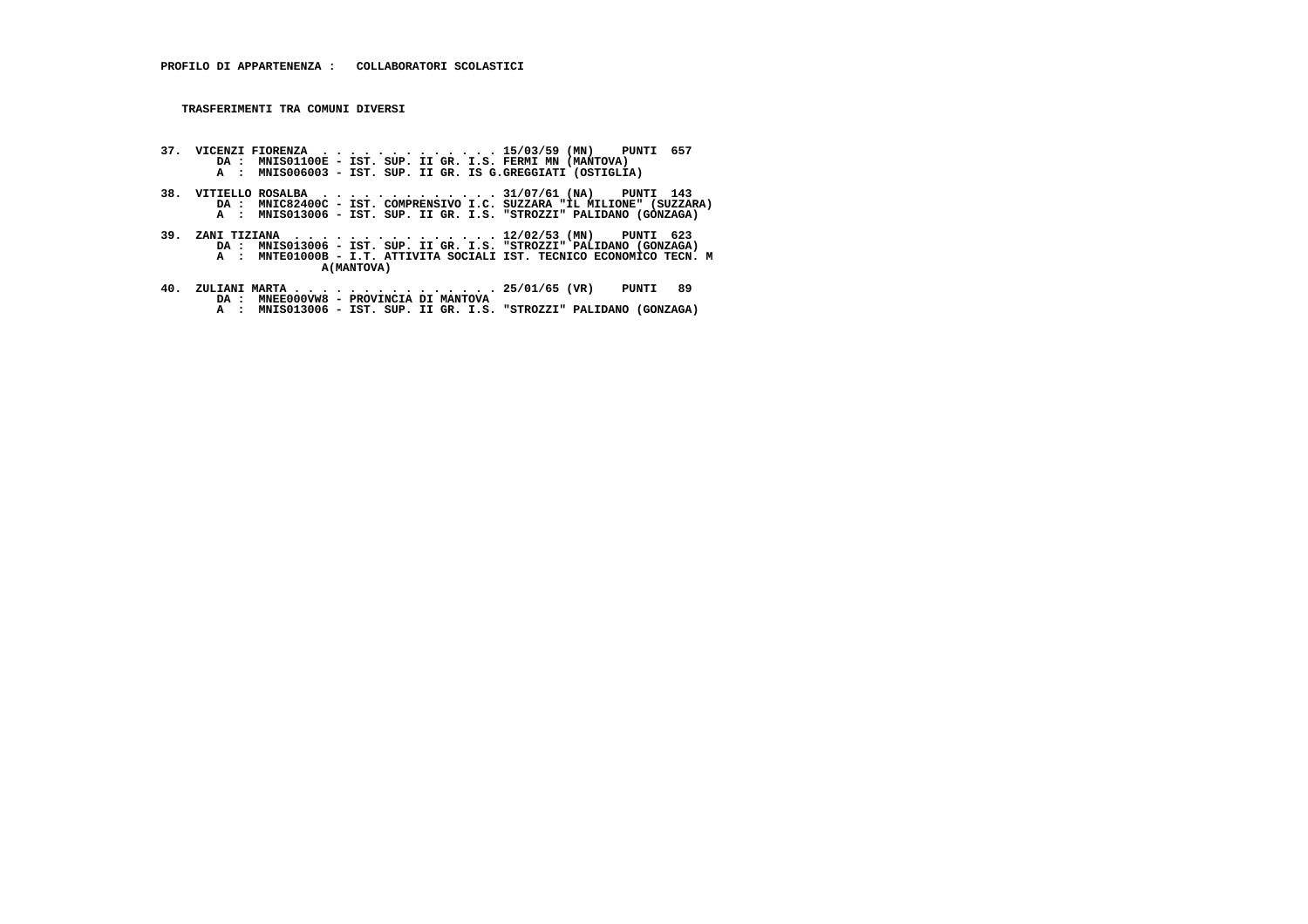- **37. VICENZI FIORENZA . . . . . . . . . . . . . 15/03/59 (MN) PUNTI 657 DA : MNIS01100E IST. SUP. II GR. I.S. FERMI MN (MANTOVA) A : MNIS006003 IST. SUP. II GR. IS G.GREGGIATI (OSTIGLIA)**
- 38. VITIELLO ROSALBA ..............31/07/61 (NA) PUNTI 143<br>DA : MNIC82400C IST. COMPRENSIVO I.C. SUZZARA "IL MILIONE" (SUZZARA)<br>A : MNIS013006 IST. SUP. II GR. I.S. "STROZZI" PALIDANO (GONZAGA)
- **39. ZANI TIZIANA . . . . . . . . . . . . . . . 12/02/53 (MN) PUNTI 623 DA : MNIS013006 IST. SUP. II GR. I.S. "STROZZI" PALIDANO (GONZAGA) A : MNTE01000B I.T. ATTIVITA SOCIALI IST. TECNICO ECONOMICO TECN. M A(MANTOVA)**
- **40. ZULIANI MARTA . . . . . . . . . . . . . . . 25/01/65 (VR) PUNTI 89 DA : MNEE000VW8 PROVINCIA DI MANTOVA**
- **A : MNIS013006 IST. SUP. II GR. I.S. "STROZZI" PALIDANO (GONZAGA)**